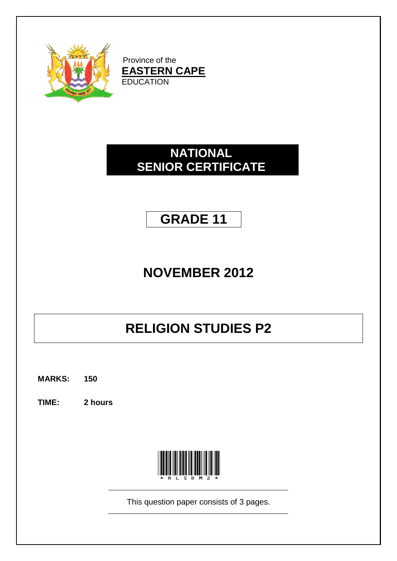

Province of the **EASTERN CAPE EDUCATION** 

#### **NATIONAL SENIOR CERTIFICATE**

### **GRADE 11**

## **NOVEMBER 2012**

# **RELIGION STUDIES P2**

**MARKS: 150**

**TIME: 2 hours**



This question paper consists of 3 pages.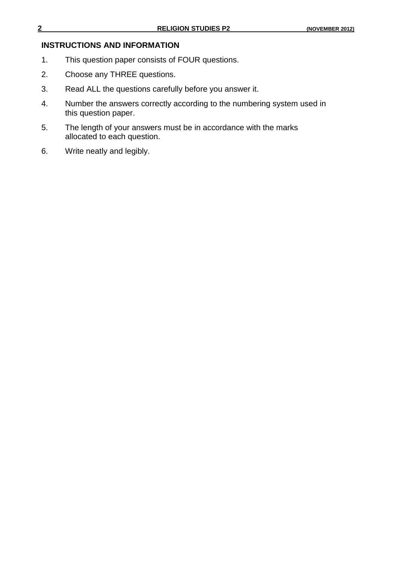#### **INSTRUCTIONS AND INFORMATION**

- 1. This question paper consists of FOUR questions.
- 2. Choose any THREE questions.
- 3. Read ALL the questions carefully before you answer it.
- 4. Number the answers correctly according to the numbering system used in this question paper.
- 5. The length of your answers must be in accordance with the marks allocated to each question.
- 6. Write neatly and legibly.